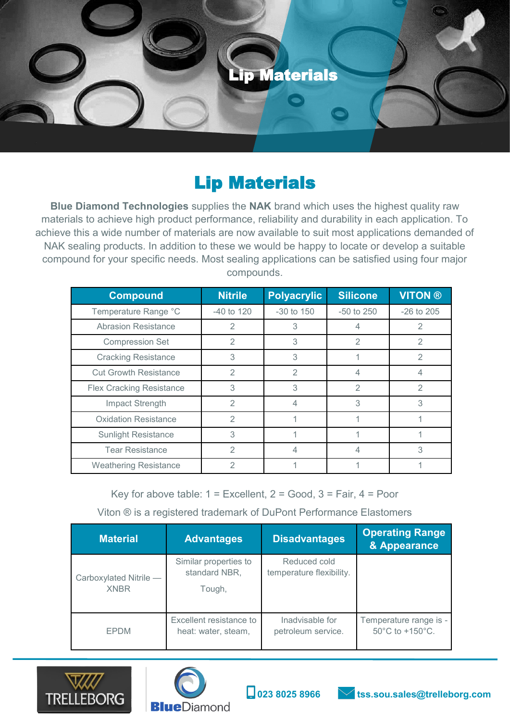

## Lip Materials

**Blue Diamond Technologies** supplies the **NAK** brand which uses the highest quality raw materials to achieve high product performance, reliability and durability in each application. To achieve this a wide number of materials are now available to suit most applications demanded of NAK sealing products. In addition to these we would be happy to locate or develop a suitable compound for your specific needs. Most sealing applications can be satisfied using four major compounds.

| <b>Compound</b>                 | <b>Nitrile</b> | <b>Polyacrylic</b> | <b>Silicone</b> | <b>VITON®</b>  |
|---------------------------------|----------------|--------------------|-----------------|----------------|
| Temperature Range °C            | -40 to 120     | $-30$ to $150$     | $-50$ to $250$  | $-26$ to $205$ |
| <b>Abrasion Resistance</b>      | 2              | 3                  | 4               | 2              |
| <b>Compression Set</b>          | $\overline{2}$ | 3                  | $\overline{2}$  | $\mathfrak{D}$ |
| <b>Cracking Resistance</b>      | 3              | 3                  |                 | $\mathfrak{D}$ |
| <b>Cut Growth Resistance</b>    | $\mathcal{P}$  | $\overline{2}$     | 4               | 4              |
| <b>Flex Cracking Resistance</b> | 3              | 3                  | $\mathfrak{D}$  | 2              |
| Impact Strength                 | $\mathcal{P}$  |                    | 3               | 3              |
| <b>Oxidation Resistance</b>     | $\mathcal{P}$  |                    |                 |                |
| <b>Sunlight Resistance</b>      | 3              |                    |                 |                |
| <b>Tear Resistance</b>          | $\mathfrak{D}$ |                    | 4               | 3              |
| <b>Weathering Resistance</b>    | $\mathfrak{D}$ |                    |                 |                |

Key for above table:  $1 =$  Excellent,  $2 =$  Good,  $3 =$  Fair,  $4 =$  Poor

Viton ® is a registered trademark of DuPont Performance Elastomers

| <b>Material</b>                       | <b>Advantages</b>                                | <b>Disadvantages</b>                     | <b>Operating Range</b><br>& Appearance    |
|---------------------------------------|--------------------------------------------------|------------------------------------------|-------------------------------------------|
| Carboxylated Nitrile -<br><b>XNBR</b> | Similar properties to<br>standard NBR,<br>Tough, | Reduced cold<br>temperature flexibility. |                                           |
| <b>EPDM</b>                           | Excellent resistance to<br>heat: water, steam,   | Inadvisable for<br>petroleum service.    | Temperature range is -<br>50°C to +150°C. |